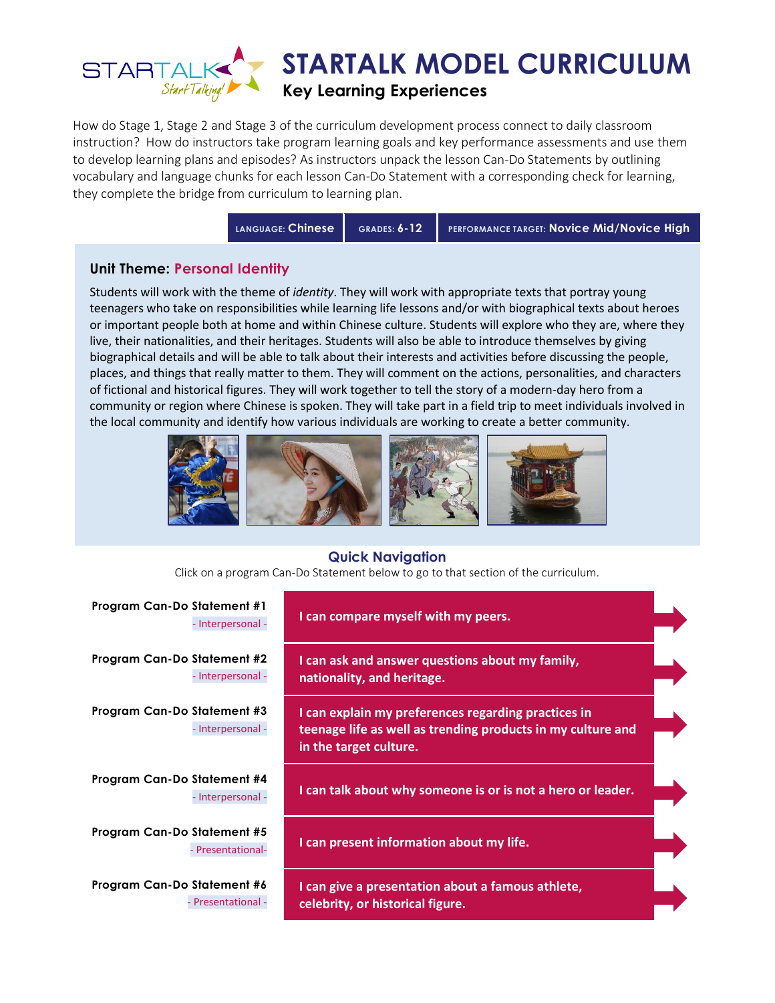

How do Stage 1, Stage 2 and Stage 3 of the curriculum development process connect to daily classroom instruction? How do instructors take program learning goals and key performance assessments and use them to develop learning plans and episodes? As instructors unpack the lesson Can-Do Statements by outlining vocabulary and language chunks for each lesson Can-Do Statement with a corresponding check for learning, they complete the bridge from curriculum to learning plan.

**LANGUAGE: Chinese GRADES: 6-12 PERFORMANCE TARGET: Novice Mid/Novice High**

### **Unit Theme: Personal Identity**

Students will work with the theme of *identity*. They will work with appropriate texts that portray young teenagers who take on responsibilities while learning life lessons and/or with biographical texts about heroes or important people both at home and within Chinese culture. Students will explore who they are, where they live, their nationalities, and their heritages. Students will also be able to introduce themselves by giving biographical details and will be able to talk about their interests and activities before discussing the people, places, and things that really matter to them. They will comment on the actions, personalities, and characters of fictional and historical figures. They will work together to tell the story of a modern-day hero from a community or region where Chinese is spoken. They will take part in a field trip to meet individuals involved in the local community and identify how various individuals are working to create a better community.



#### **Quick Navigation**

Click on a program Can-Do Statement below to go to that section of the curriculum.

| <b>Program Can-Do Statement #1</b><br>- Interpersonal - | I can compare myself with my peers.                                                                                                          |  |
|---------------------------------------------------------|----------------------------------------------------------------------------------------------------------------------------------------------|--|
| Program Can-Do Statement #2<br>- Interpersonal -        | I can ask and answer questions about my family,<br>nationality, and heritage.                                                                |  |
| Program Can-Do Statement #3<br>- Interpersonal -        | I can explain my preferences regarding practices in<br>teenage life as well as trending products in my culture and<br>in the target culture. |  |
| Program Can-Do Statement #4<br>- Interpersonal -        | I can talk about why someone is or is not a hero or leader.                                                                                  |  |
| Program Can-Do Statement #5<br>- Presentational-        | I can present information about my life.                                                                                                     |  |
| Program Can-Do Statement #6<br>- Presentational -       | I can give a presentation about a famous athlete,<br>celebrity, or historical figure.                                                        |  |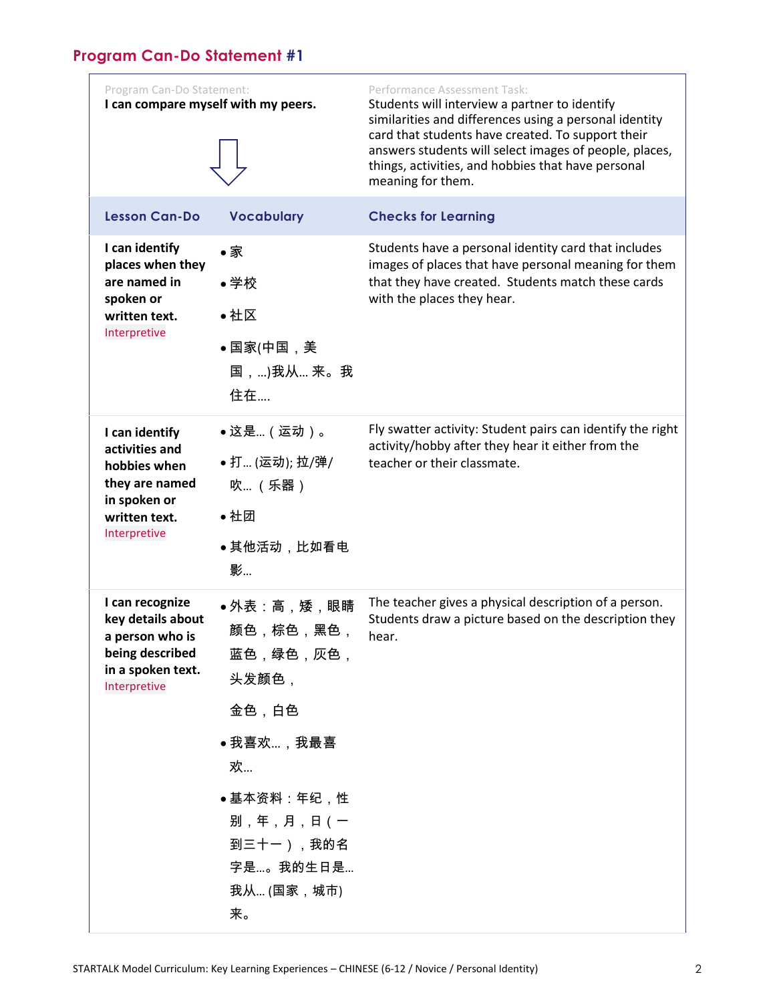## <span id="page-1-0"></span>**Program Can-Do Statement #1**

| Program Can-Do Statement:<br>I can compare myself with my peers.                                                    |                                                                                                                                                 | Performance Assessment Task:<br>Students will interview a partner to identify<br>similarities and differences using a personal identity<br>card that students have created. To support their<br>answers students will select images of people, places,<br>things, activities, and hobbies that have personal<br>meaning for them. |
|---------------------------------------------------------------------------------------------------------------------|-------------------------------------------------------------------------------------------------------------------------------------------------|-----------------------------------------------------------------------------------------------------------------------------------------------------------------------------------------------------------------------------------------------------------------------------------------------------------------------------------|
| <b>Lesson Can-Do</b>                                                                                                | <b>Vocabulary</b>                                                                                                                               | <b>Checks for Learning</b>                                                                                                                                                                                                                                                                                                        |
| I can identify<br>places when they<br>are named in<br>spoken or<br>written text.<br>Interpretive                    | ●家<br>●学校<br>●社区<br>●国家(中国,美<br>国,)我从 来。我<br>住在                                                                                                 | Students have a personal identity card that includes<br>images of places that have personal meaning for them<br>that they have created. Students match these cards<br>with the places they hear.                                                                                                                                  |
| I can identify<br>activities and<br>hobbies when<br>they are named<br>in spoken or<br>written text.<br>Interpretive | ●这是(运动)。<br>● 打 (运动); 拉/弹/<br>吹 (乐器)<br>●社团<br>●其他活动,比如看电<br>影                                                                                  | Fly swatter activity: Student pairs can identify the right<br>activity/hobby after they hear it either from the<br>teacher or their classmate.                                                                                                                                                                                    |
| I can recognize<br>key details about<br>a person who is<br>being described<br>in a spoken text.<br>Interpretive     | ●外表:高,矮,眼睛<br>颜色,棕色,黑色,<br>蓝色,绿色,灰色,<br>头发颜色,<br>金色,白色<br>●我喜欢,我最喜<br>欢<br>●基本资料:年纪,性<br>别,年,月,日(一<br>到三十一),我的名<br>字是。我的生日是<br>我从 (国家,城市)<br>来。 | The teacher gives a physical description of a person.<br>Students draw a picture based on the description they<br>hear.                                                                                                                                                                                                           |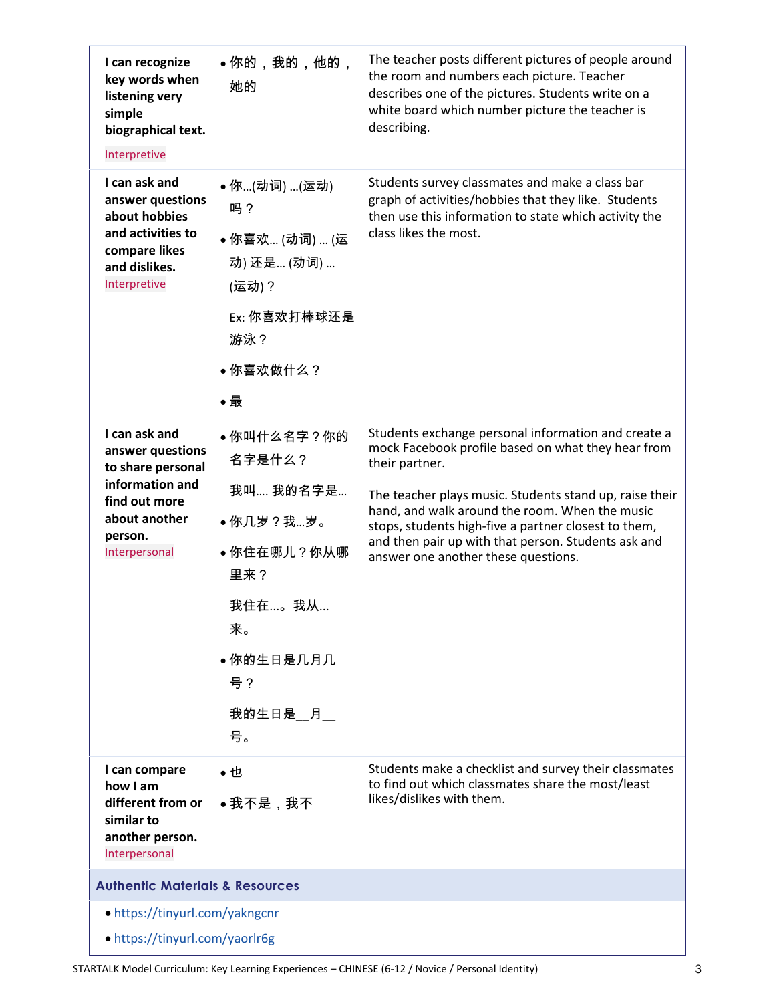| I can recognize<br>key words when<br>listening very<br>simple<br>biographical text.<br>Interpretive                                     | ●你的,我的,他的,<br>她的                                                                                                          | The teacher posts different pictures of people around<br>the room and numbers each picture. Teacher<br>describes one of the pictures. Students write on a<br>white board which number picture the teacher is<br>describing.                                                                                                                                                                    |
|-----------------------------------------------------------------------------------------------------------------------------------------|---------------------------------------------------------------------------------------------------------------------------|------------------------------------------------------------------------------------------------------------------------------------------------------------------------------------------------------------------------------------------------------------------------------------------------------------------------------------------------------------------------------------------------|
| I can ask and<br>answer questions<br>about hobbies<br>and activities to<br>compare likes<br>and dislikes.<br>Interpretive               | ●你(动词) (运动)<br>吗?<br>● 你喜欢 (动词)  (运<br>动) 还是 (动词)<br>(运动) ?<br>Ex: 你喜欢打棒球还是<br>游泳?<br>●你喜欢做什么?<br>●最                      | Students survey classmates and make a class bar<br>graph of activities/hobbies that they like. Students<br>then use this information to state which activity the<br>class likes the most.                                                                                                                                                                                                      |
| I can ask and<br>answer questions<br>to share personal<br>information and<br>find out more<br>about another<br>person.<br>Interpersonal | ●你叫什么名字?你的<br>名字是什么?<br>我叫 我的名字是<br>●你几岁?我岁。<br>• 你住在哪儿?你从哪<br>里来?<br>我住在。我从<br>来。<br>●你的生日是几月几<br>号?<br>我的生日是__月__<br>号。 | Students exchange personal information and create a<br>mock Facebook profile based on what they hear from<br>their partner.<br>The teacher plays music. Students stand up, raise their<br>hand, and walk around the room. When the music<br>stops, students high-five a partner closest to them,<br>and then pair up with that person. Students ask and<br>answer one another these questions. |
| I can compare<br>how I am<br>different from or<br>similar to<br>another person.<br>Interpersonal                                        | ●也<br>●我不是,我不                                                                                                             | Students make a checklist and survey their classmates<br>to find out which classmates share the most/least<br>likes/dislikes with them.                                                                                                                                                                                                                                                        |
| <b>Authentic Materials &amp; Resources</b>                                                                                              |                                                                                                                           |                                                                                                                                                                                                                                                                                                                                                                                                |
| • https://tinyurl.com/yakngcnr<br>• https://tinyurl.com/yaorlr6g                                                                        |                                                                                                                           |                                                                                                                                                                                                                                                                                                                                                                                                |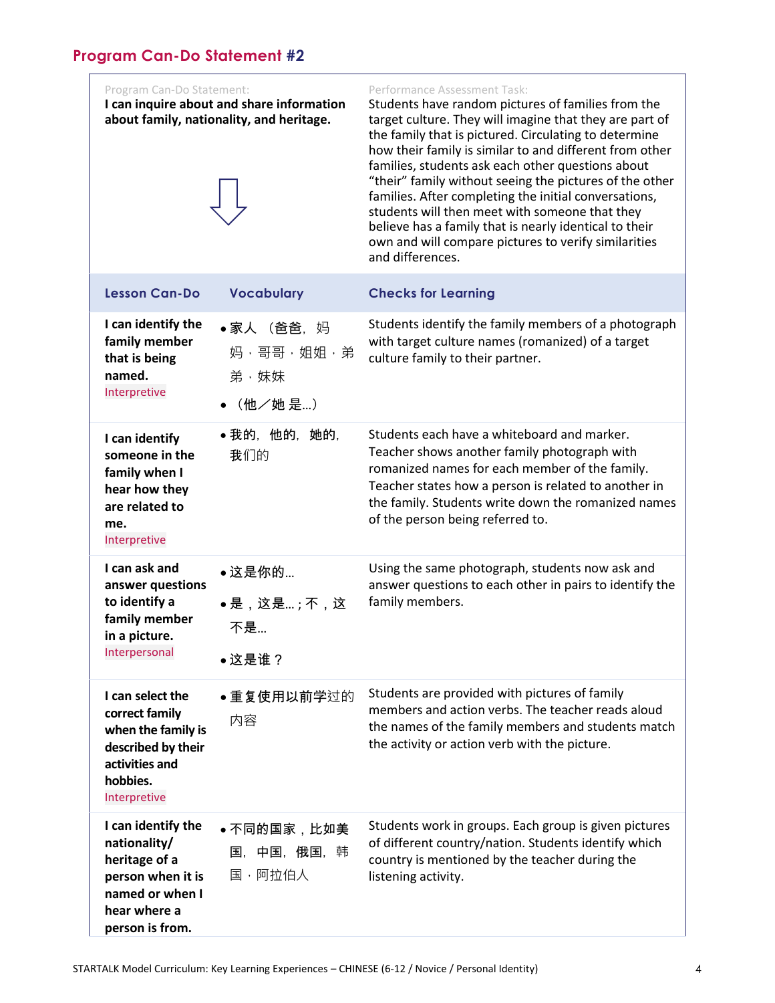<span id="page-3-0"></span>Program Can-Do Statement: **I can inquire about and share information** 

**about family, nationality, and heritage.**



#### Performance Assessment Task:

Students have random pictures of families from the target culture. They will imagine that they are part of the family that is pictured. Circulating to determine how their family is similar to and different from other families, students ask each other questions about "their" family without seeing the pictures of the other families. After completing the initial conversations, students will then meet with someone that they believe has a family that is nearly identical to their own and will compare pictures to verify similarities and differences.

| <b>Lesson Can-Do</b>                                                                                                           | <b>Vocabulary</b>                          | <b>Checks for Learning</b>                                                                                                                                                                                                                                                                       |
|--------------------------------------------------------------------------------------------------------------------------------|--------------------------------------------|--------------------------------------------------------------------------------------------------------------------------------------------------------------------------------------------------------------------------------------------------------------------------------------------------|
| I can identify the<br>family member<br>that is being<br>named.<br>Interpretive                                                 | •家人 (爸爸,妈<br>妈·哥哥·姐姐·弟<br>弟·妹妹<br>(他/她 是…) | Students identify the family members of a photograph<br>with target culture names (romanized) of a target<br>culture family to their partner.                                                                                                                                                    |
| I can identify<br>someone in the<br>family when I<br>hear how they<br>are related to<br>me.<br>Interpretive                    | •我的,他的,她的,<br>我们的                          | Students each have a whiteboard and marker.<br>Teacher shows another family photograph with<br>romanized names for each member of the family.<br>Teacher states how a person is related to another in<br>the family. Students write down the romanized names<br>of the person being referred to. |
| I can ask and<br>answer questions<br>to identify a<br>family member<br>in a picture.<br>Interpersonal                          | •这是你的<br>●是,这是;不,这<br>不是<br>•这是谁?          | Using the same photograph, students now ask and<br>answer questions to each other in pairs to identify the<br>family members.                                                                                                                                                                    |
| I can select the<br>correct family<br>when the family is<br>described by their<br>activities and<br>hobbies.<br>Interpretive   | • 重复使用以前学过的<br>内容                          | Students are provided with pictures of family<br>members and action verbs. The teacher reads aloud<br>the names of the family members and students match<br>the activity or action verb with the picture.                                                                                        |
| I can identify the<br>nationality/<br>heritage of a<br>person when it is<br>named or when I<br>hear where a<br>person is from. | ●不同的国家,比如美<br>国, 中国, 俄国, 韩<br>国,阿拉伯人       | Students work in groups. Each group is given pictures<br>of different country/nation. Students identify which<br>country is mentioned by the teacher during the<br>listening activity.                                                                                                           |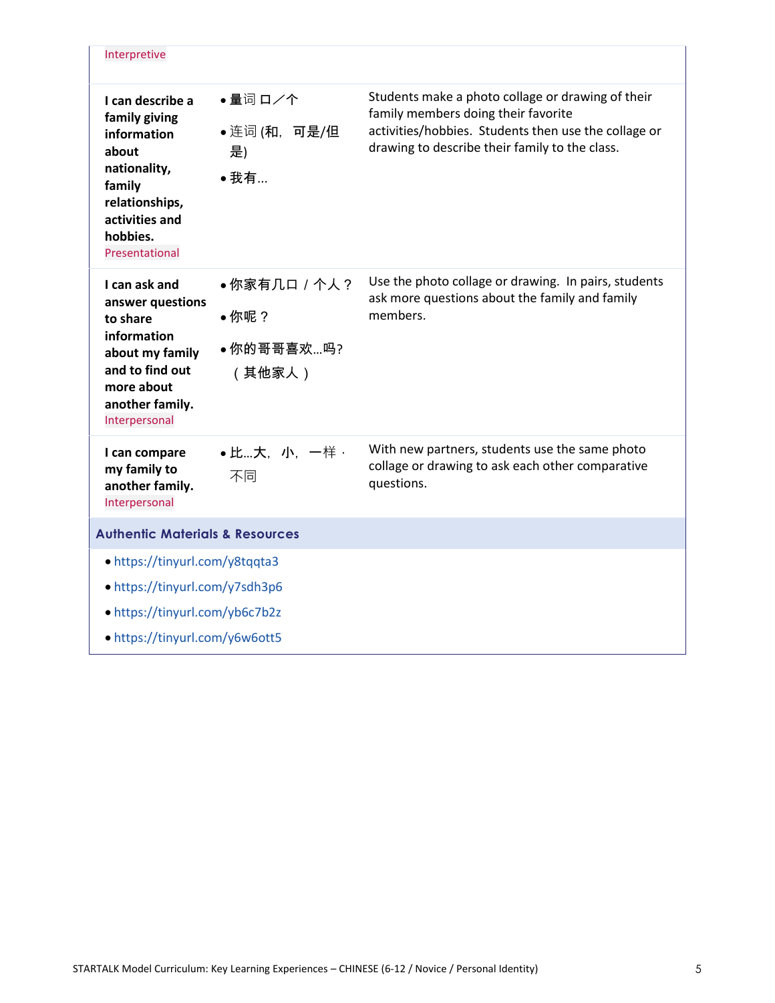| Interpretive                                                                                                                                          |                                             |                                                                                                                                                                                                    |
|-------------------------------------------------------------------------------------------------------------------------------------------------------|---------------------------------------------|----------------------------------------------------------------------------------------------------------------------------------------------------------------------------------------------------|
| I can describe a<br>family giving<br>information<br>about<br>nationality,<br>family<br>relationships,<br>activities and<br>hobbies.<br>Presentational | •量词ロノ个<br>● 连词 (和, 可是/但<br>是)<br>• 我有       | Students make a photo collage or drawing of their<br>family members doing their favorite<br>activities/hobbies. Students then use the collage or<br>drawing to describe their family to the class. |
| I can ask and<br>answer questions<br>to share<br>information<br>about my family<br>and to find out<br>more about<br>another family.<br>Interpersonal  | •你家有几口 / 个人?<br>●你呢?<br>●你的哥哥喜欢吗?<br>(其他家人) | Use the photo collage or drawing. In pairs, students<br>ask more questions about the family and family<br>members.                                                                                 |
| I can compare<br>my family to<br>another family.<br>Interpersonal                                                                                     | • 比…大, 小, 一样,<br>不同                         | With new partners, students use the same photo<br>collage or drawing to ask each other comparative<br>questions.                                                                                   |
| <b>Authentic Materials &amp; Resources</b>                                                                                                            |                                             |                                                                                                                                                                                                    |
| • https://tinyurl.com/y8tqqta3<br>• https://tinyurl.com/y7sdh3p6<br>• https://tinyurl.com/yb6c7b2z<br>• https://tinyurl.com/y6w6ott5                  |                                             |                                                                                                                                                                                                    |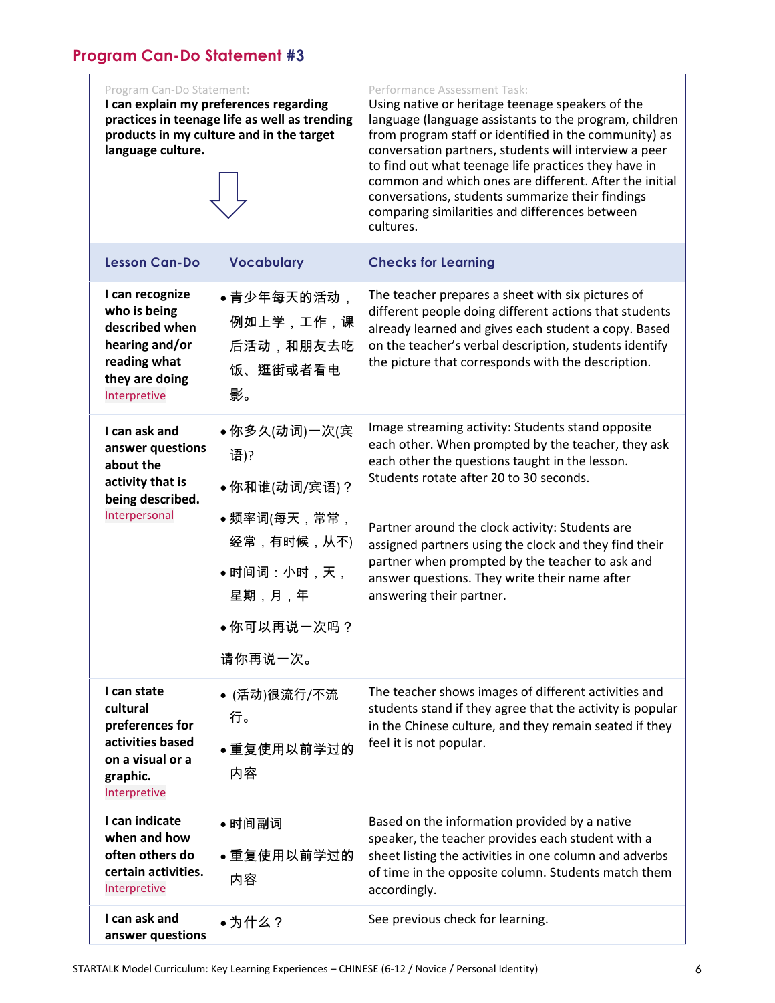#### <span id="page-5-0"></span>Program Can-Do Statement: **I can explain my preferences regarding practices in teenage life as well as trending products in my culture and in the target language culture.**  Performance Assessment Task: Using native or heritage teenage speakers of the language (language assistants to the program, children from program staff or identified in the community) as conversation partners, students will interview a peer to find out what teenage life practices they have in common and which ones are different. After the initial conversations, students summarize their findings comparing similarities and differences between cultures.

| <b>Lesson Can-Do</b>                                                                                                  | <b>Vocabulary</b>                                                                                                  | <b>Checks for Learning</b>                                                                                                                                                                                                                                                                                                                                                                                                                       |
|-----------------------------------------------------------------------------------------------------------------------|--------------------------------------------------------------------------------------------------------------------|--------------------------------------------------------------------------------------------------------------------------------------------------------------------------------------------------------------------------------------------------------------------------------------------------------------------------------------------------------------------------------------------------------------------------------------------------|
| I can recognize<br>who is being<br>described when<br>hearing and/or<br>reading what<br>they are doing<br>Interpretive | ●青少年每天的活动,<br>例如上学,工作,课<br>后活动,和朋友去吃<br>饭、逛街或者看电<br>影。                                                             | The teacher prepares a sheet with six pictures of<br>different people doing different actions that students<br>already learned and gives each student a copy. Based<br>on the teacher's verbal description, students identify<br>the picture that corresponds with the description.                                                                                                                                                              |
| I can ask and<br>answer questions<br>about the<br>activity that is<br>being described.<br>Interpersonal               | ●你多久(动词)一次(宾<br>语)?<br>●你和谁(动词/宾语)?<br>●频率词(每天,常常,<br>经常,有时候,从不)<br>● 时间词:小时,天,<br>星期,月,年<br>●你可以再说一次吗?<br>请你再说一次。 | Image streaming activity: Students stand opposite<br>each other. When prompted by the teacher, they ask<br>each other the questions taught in the lesson.<br>Students rotate after 20 to 30 seconds.<br>Partner around the clock activity: Students are<br>assigned partners using the clock and they find their<br>partner when prompted by the teacher to ask and<br>answer questions. They write their name after<br>answering their partner. |
| I can state<br>cultural<br>preferences for<br>activities based<br>on a visual or a<br>graphic.<br>Interpretive        | ● (活动)很流行/不流<br>行。<br>●重复使用以前学过的<br>内容                                                                             | The teacher shows images of different activities and<br>students stand if they agree that the activity is popular<br>in the Chinese culture, and they remain seated if they<br>feel it is not popular.                                                                                                                                                                                                                                           |
| I can indicate<br>when and how                                                                                        | ●时间副词                                                                                                              | Based on the information provided by a native                                                                                                                                                                                                                                                                                                                                                                                                    |
| often others do<br>certain activities.<br>Interpretive                                                                | • 重复使用以前学过的<br>内容                                                                                                  | speaker, the teacher provides each student with a<br>sheet listing the activities in one column and adverbs<br>of time in the opposite column. Students match them<br>accordingly.                                                                                                                                                                                                                                                               |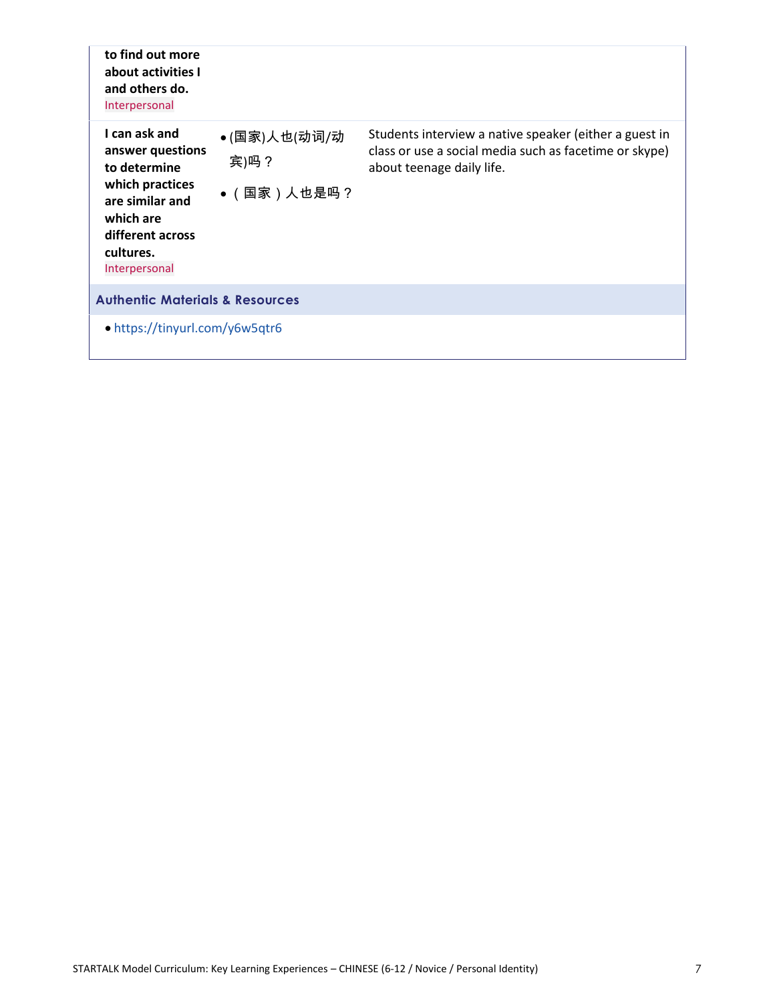| to find out more<br>about activities I<br>and others do.<br>Interpersonal                                                                              |                                    |                                                                                                                                               |
|--------------------------------------------------------------------------------------------------------------------------------------------------------|------------------------------------|-----------------------------------------------------------------------------------------------------------------------------------------------|
| I can ask and<br>answer questions<br>to determine<br>which practices<br>are similar and<br>which are<br>different across<br>cultures.<br>Interpersonal | ●(国家)人也(动词/动<br>宾)吗?<br>●(国家)人也是吗? | Students interview a native speaker (either a guest in<br>class or use a social media such as facetime or skype)<br>about teenage daily life. |
| <b>Authentic Materials &amp; Resources</b>                                                                                                             |                                    |                                                                                                                                               |
| • https://tinyurl.com/y6w5qtr6                                                                                                                         |                                    |                                                                                                                                               |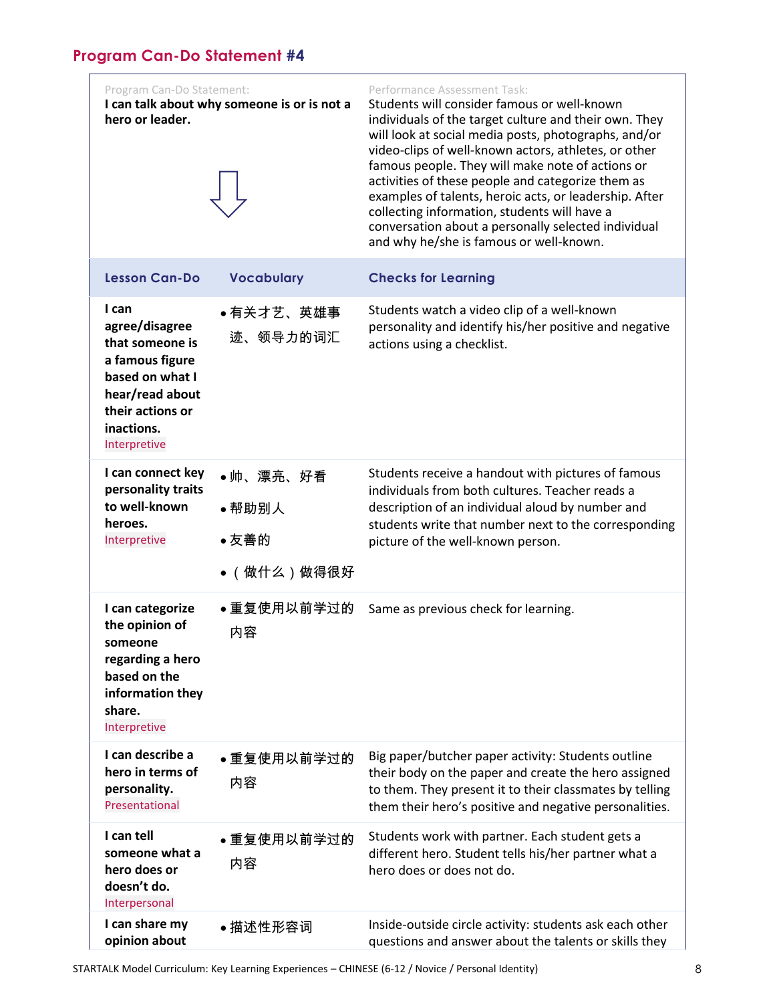<span id="page-7-0"></span>

| Program Can-Do Statement:<br>hero or leader.                                                                                                          | I can talk about why someone is or is not a | Performance Assessment Task:<br>Students will consider famous or well-known<br>individuals of the target culture and their own. They<br>will look at social media posts, photographs, and/or<br>video-clips of well-known actors, athletes, or other<br>famous people. They will make note of actions or<br>activities of these people and categorize them as<br>examples of talents, heroic acts, or leadership. After<br>collecting information, students will have a<br>conversation about a personally selected individual<br>and why he/she is famous or well-known. |
|-------------------------------------------------------------------------------------------------------------------------------------------------------|---------------------------------------------|---------------------------------------------------------------------------------------------------------------------------------------------------------------------------------------------------------------------------------------------------------------------------------------------------------------------------------------------------------------------------------------------------------------------------------------------------------------------------------------------------------------------------------------------------------------------------|
| <b>Lesson Can-Do</b>                                                                                                                                  | <b>Vocabulary</b>                           | <b>Checks for Learning</b>                                                                                                                                                                                                                                                                                                                                                                                                                                                                                                                                                |
| I can<br>agree/disagree<br>that someone is<br>a famous figure<br>based on what I<br>hear/read about<br>their actions or<br>inactions.<br>Interpretive | ●有关才艺、英雄事<br>迹、领导力的词汇                       | Students watch a video clip of a well-known<br>personality and identify his/her positive and negative<br>actions using a checklist.                                                                                                                                                                                                                                                                                                                                                                                                                                       |
| I can connect key<br>personality traits<br>to well-known<br>heroes.<br>Interpretive                                                                   | ●帅、漂亮、好看<br>●帮助别人<br>●友善的<br>●(做什么)做得很好     | Students receive a handout with pictures of famous<br>individuals from both cultures. Teacher reads a<br>description of an individual aloud by number and<br>students write that number next to the corresponding<br>picture of the well-known person.                                                                                                                                                                                                                                                                                                                    |
| I can categorize<br>the opinion of<br>someone<br>regarding a hero<br>based on the<br>information they<br>share.<br>Interpretive                       | ●重复使用以前学过的<br>内容                            | Same as previous check for learning.                                                                                                                                                                                                                                                                                                                                                                                                                                                                                                                                      |
| I can describe a<br>hero in terms of<br>personality.<br>Presentational                                                                                | ●重复使用以前学过的<br>内容                            | Big paper/butcher paper activity: Students outline<br>their body on the paper and create the hero assigned<br>to them. They present it to their classmates by telling<br>them their hero's positive and negative personalities.                                                                                                                                                                                                                                                                                                                                           |
| I can tell<br>someone what a<br>hero does or<br>doesn't do.<br>Interpersonal                                                                          | ●重复使用以前学过的<br>内容                            | Students work with partner. Each student gets a<br>different hero. Student tells his/her partner what a<br>hero does or does not do.                                                                                                                                                                                                                                                                                                                                                                                                                                      |
| I can share my<br>opinion about                                                                                                                       | ● 描述性形容词                                    | Inside-outside circle activity: students ask each other<br>questions and answer about the talents or skills they                                                                                                                                                                                                                                                                                                                                                                                                                                                          |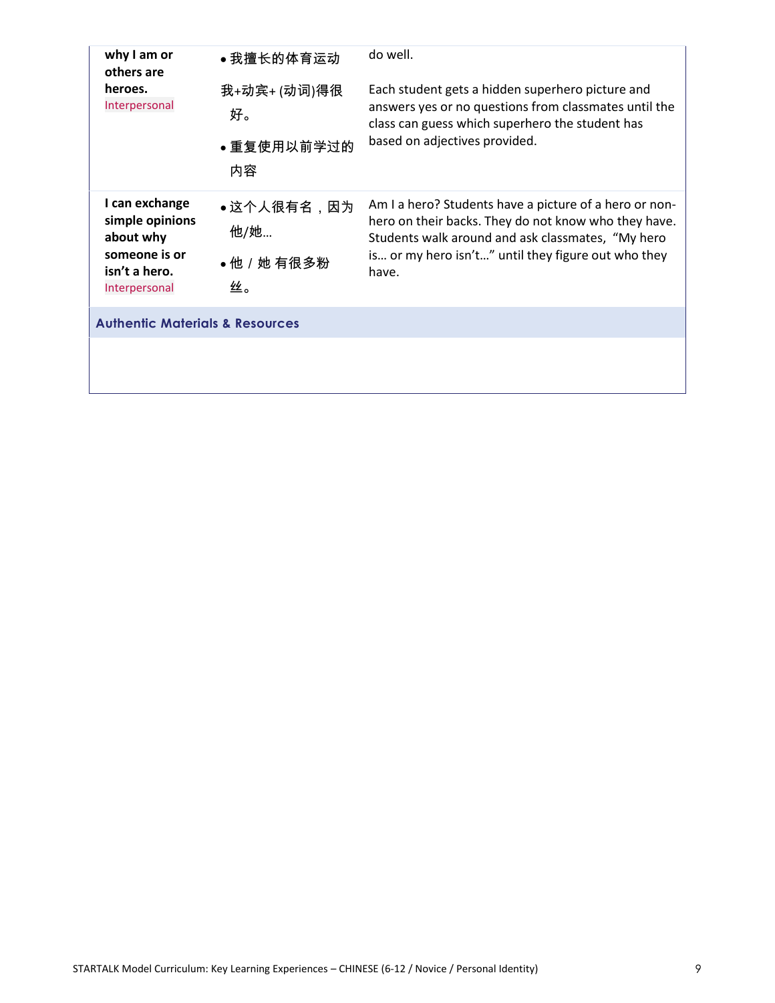| why I am or<br>others are<br>heroes.<br>Interpersonal                                             | ●我擅长的体育运动                             | do well.                                                                                                                                                                                                                            |
|---------------------------------------------------------------------------------------------------|---------------------------------------|-------------------------------------------------------------------------------------------------------------------------------------------------------------------------------------------------------------------------------------|
|                                                                                                   | 我+动宾+(动词)得很<br>好。<br>●重复使用以前学过的<br>内容 | Each student gets a hidden superhero picture and<br>answers yes or no questions from classmates until the<br>class can guess which superhero the student has<br>based on adjectives provided.                                       |
| I can exchange<br>simple opinions<br>about why<br>someone is or<br>isn't a hero.<br>Interpersonal | ●这个人很有名,因为<br>他/她<br>●他/她 有很多粉<br>丝。  | Am I a hero? Students have a picture of a hero or non-<br>hero on their backs. They do not know who they have.<br>Students walk around and ask classmates, "My hero<br>is or my hero isn't" until they figure out who they<br>have. |
| <b>Authentic Materials &amp; Resources</b>                                                        |                                       |                                                                                                                                                                                                                                     |
|                                                                                                   |                                       |                                                                                                                                                                                                                                     |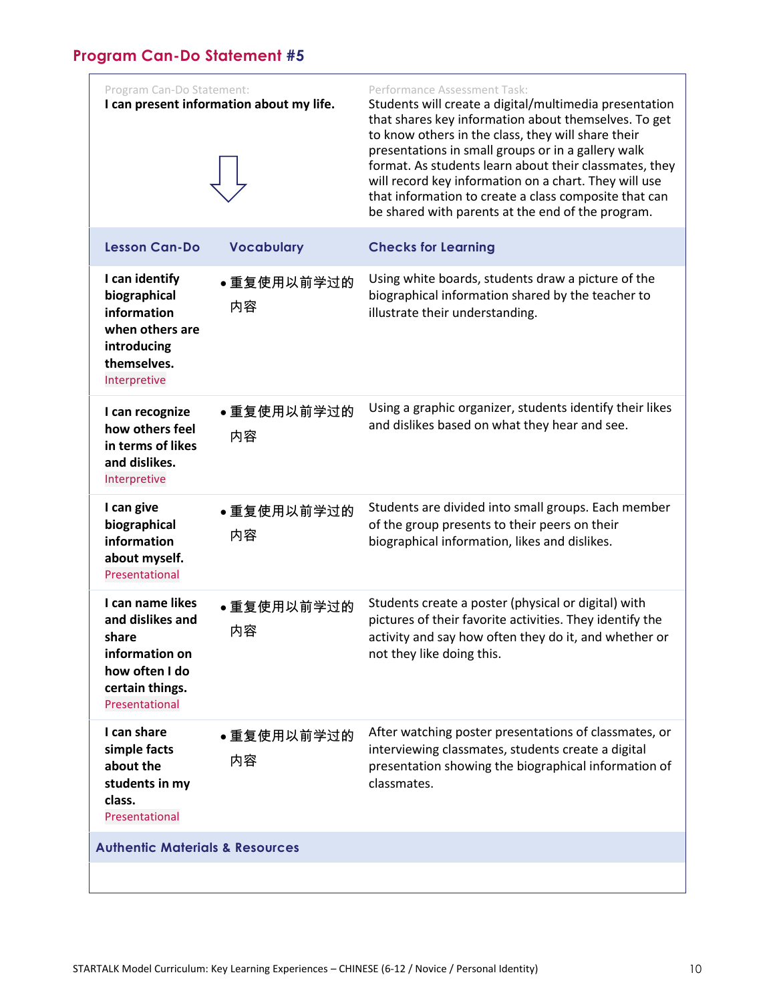# <span id="page-9-0"></span>**Program Can-Do Statement #5**

| Program Can-Do Statement:                                                                                              | I can present information about my life. | Performance Assessment Task:<br>Students will create a digital/multimedia presentation<br>that shares key information about themselves. To get<br>to know others in the class, they will share their<br>presentations in small groups or in a gallery walk<br>format. As students learn about their classmates, they<br>will record key information on a chart. They will use<br>that information to create a class composite that can<br>be shared with parents at the end of the program. |
|------------------------------------------------------------------------------------------------------------------------|------------------------------------------|---------------------------------------------------------------------------------------------------------------------------------------------------------------------------------------------------------------------------------------------------------------------------------------------------------------------------------------------------------------------------------------------------------------------------------------------------------------------------------------------|
| <b>Lesson Can-Do</b>                                                                                                   | <b>Vocabulary</b>                        | <b>Checks for Learning</b>                                                                                                                                                                                                                                                                                                                                                                                                                                                                  |
| I can identify<br>biographical<br>information<br>when others are<br>introducing<br>themselves.<br>Interpretive         | ●重复使用以前学过的<br>内容                         | Using white boards, students draw a picture of the<br>biographical information shared by the teacher to<br>illustrate their understanding.                                                                                                                                                                                                                                                                                                                                                  |
| I can recognize<br>how others feel<br>in terms of likes<br>and dislikes.<br>Interpretive                               | ●重复使用以前学过的<br>内容                         | Using a graphic organizer, students identify their likes<br>and dislikes based on what they hear and see.                                                                                                                                                                                                                                                                                                                                                                                   |
| I can give<br>biographical<br>information<br>about myself.<br>Presentational                                           | ●重复使用以前学过的<br>内容                         | Students are divided into small groups. Each member<br>of the group presents to their peers on their<br>biographical information, likes and dislikes.                                                                                                                                                                                                                                                                                                                                       |
| I can name likes<br>and dislikes and<br>share<br>information on<br>how often I do<br>certain things.<br>Presentational | ●重复使用以前学过的<br>内容                         | Students create a poster (physical or digital) with<br>pictures of their favorite activities. They identify the<br>activity and say how often they do it, and whether or<br>not they like doing this.                                                                                                                                                                                                                                                                                       |
| I can share<br>simple facts<br>about the<br>students in my<br>class.<br>Presentational                                 | • 重复使用以前学过的<br>内容                        | After watching poster presentations of classmates, or<br>interviewing classmates, students create a digital<br>presentation showing the biographical information of<br>classmates.                                                                                                                                                                                                                                                                                                          |
| <b>Authentic Materials &amp; Resources</b>                                                                             |                                          |                                                                                                                                                                                                                                                                                                                                                                                                                                                                                             |
|                                                                                                                        |                                          |                                                                                                                                                                                                                                                                                                                                                                                                                                                                                             |